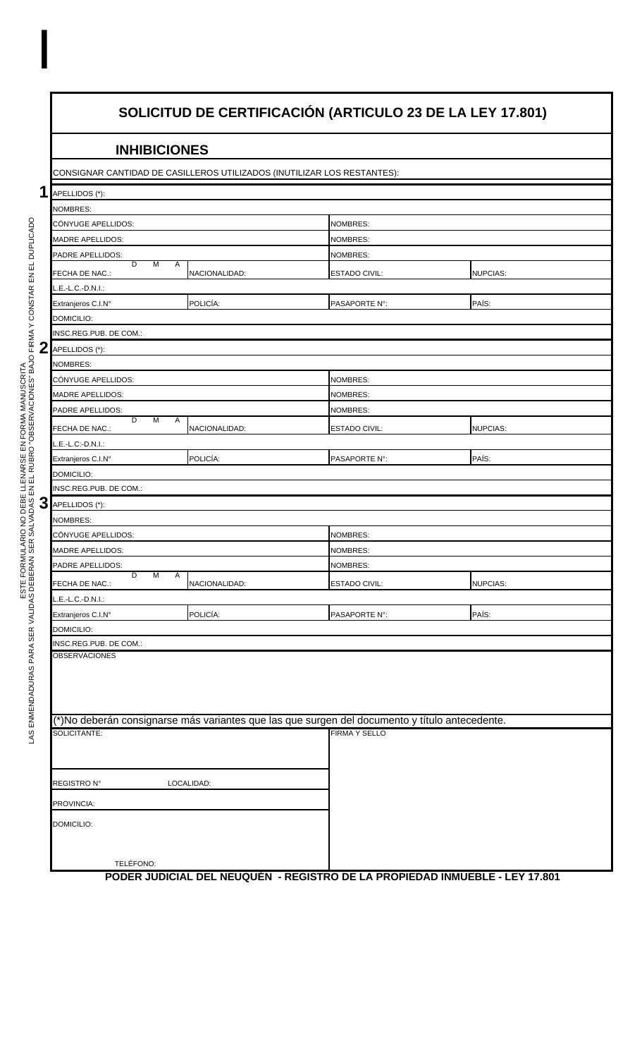## **SOLICITUD DE CERTIFICACIÓN (ARTICULO 23 DE LA LEY 17.801)**

## **INHIBICIONES**

CONSIGNAR CANTIDAD DE CASILLEROS UTILIZADOS (INUTILIZAR LOS RESTANTES):

| 1                | APELLIDOS (*):                |               |                                                                                                |                 |
|------------------|-------------------------------|---------------|------------------------------------------------------------------------------------------------|-----------------|
|                  | NOMBRES:                      |               |                                                                                                |                 |
|                  | CÓNYUGE APELLIDOS:            |               | <b>NOMBRES:</b>                                                                                |                 |
|                  | <b>MADRE APELLIDOS:</b>       |               | <b>NOMBRES:</b>                                                                                |                 |
|                  | PADRE APELLIDOS:              |               | <b>NOMBRES:</b>                                                                                |                 |
|                  | D<br>M<br>Α<br>FECHA DE NAC.: | NACIONALIDAD: | <b>ESTADO CIVIL:</b>                                                                           | <b>NUPCIAS:</b> |
|                  | L.E.-L.C.-D.N.I.:             |               |                                                                                                |                 |
|                  | Extranjeros C.I.N°            | POLICÍA:      | PASAPORTE N°:                                                                                  | PAÍS:           |
|                  | DOMICILIO:                    |               |                                                                                                |                 |
|                  | INSC.REG.PUB. DE COM.:        |               |                                                                                                |                 |
| $\boldsymbol{2}$ | APELLIDOS (*):                |               |                                                                                                |                 |
|                  | NOMBRES:                      |               |                                                                                                |                 |
|                  | CÓNYUGE APELLIDOS:            |               | <b>NOMBRES:</b>                                                                                |                 |
|                  | <b>MADRE APELLIDOS:</b>       |               | <b>NOMBRES:</b>                                                                                |                 |
|                  | PADRE APELLIDOS:              |               | NOMBRES:                                                                                       |                 |
|                  | D<br>M<br>Α<br>FECHA DE NAC.: | NACIONALIDAD: | <b>ESTADO CIVIL:</b>                                                                           | <b>NUPCIAS:</b> |
|                  | L.E.-L.C:-D.N.I.:             |               |                                                                                                |                 |
|                  | Extranjeros C.I.N°            | POLICÍA:      | PASAPORTE N°:                                                                                  | PAÍS:           |
|                  | DOMICILIO:                    |               |                                                                                                |                 |
|                  | INSC.REG.PUB. DE COM.:        |               |                                                                                                |                 |
| 3                | APELLIDOS (*):                |               |                                                                                                |                 |
|                  | <b>NOMBRES:</b>               |               |                                                                                                |                 |
|                  | CÓNYUGE APELLIDOS:            |               | NOMBRES:                                                                                       |                 |
|                  | <b>MADRE APELLIDOS:</b>       |               | <b>NOMBRES:</b>                                                                                |                 |
|                  | PADRE APELLIDOS:              |               | <b>NOMBRES:</b>                                                                                |                 |
|                  | D<br>M<br>Α<br>FECHA DE NAC.: | NACIONALIDAD: | <b>ESTADO CIVIL:</b>                                                                           | <b>NUPCIAS:</b> |
|                  | $L.E.-L.C.-D.N.1.:$           |               |                                                                                                |                 |
|                  | Extranjeros C.I.N°            | POLICÍA:      | PASAPORTE N°:                                                                                  | PAÍS:           |
|                  | DOMICILIO:                    |               |                                                                                                |                 |
|                  | INSC.REG.PUB. DE COM.:        |               |                                                                                                |                 |
|                  | OBSERVACIONES                 |               |                                                                                                |                 |
|                  |                               |               |                                                                                                |                 |
|                  |                               |               |                                                                                                |                 |
|                  |                               |               |                                                                                                |                 |
|                  |                               |               | (*)No deberán consignarse más variantes que las que surgen del documento y título antecedente. |                 |
|                  | SOLICITANTE:                  |               | <b>FIRMA Y SELLO</b>                                                                           |                 |
|                  |                               |               |                                                                                                |                 |
|                  |                               |               |                                                                                                |                 |
|                  | <b>REGISTRO N°</b>            | LOCALIDAD:    |                                                                                                |                 |
|                  | PROVINCIA:                    |               |                                                                                                |                 |
|                  |                               |               |                                                                                                |                 |
|                  | DOMICILIO:                    |               |                                                                                                |                 |
|                  |                               |               |                                                                                                |                 |
|                  | TELÉFONO:                     |               |                                                                                                |                 |
|                  |                               |               | PODER JUDICIAL DEL NEUQUÉN - REGISTRO DE LA PROPIEDAD INMUEBLE - LEY 17.801                    |                 |

I